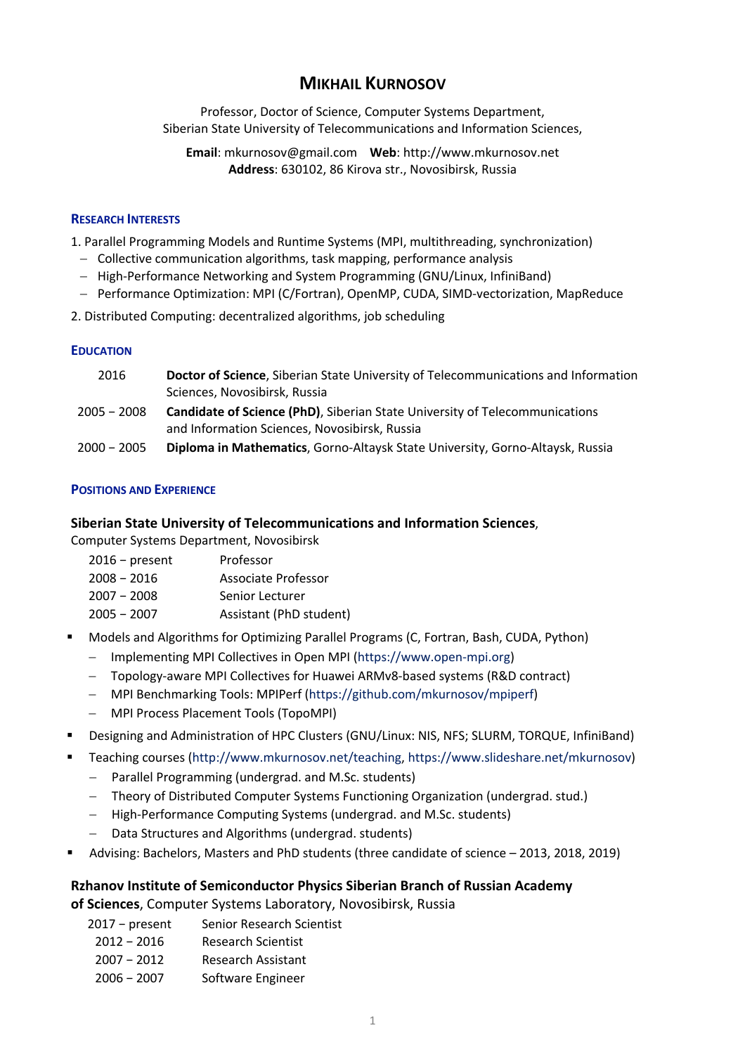# **MIKHAIL KURNOSOV**

Professor, Doctor of Science, Computer Systems Department, Siberian State University of Telecommunications and Information Sciences,

**Email**: mkurnosov@gmail.com **Web**: http://www.mkurnosov.net **Address**: 630102, 86 Kirova str., Novosibirsk, Russia

#### **RESEARCH INTERESTS**

1. Parallel Programming Models and Runtime Systems (MPI, multithreading, synchronization)

- Collective communication algorithms, task mapping, performance analysis
- High-Performance Networking and System Programming (GNU/Linux, InfiniBand)
- Performance Optimization: MPI (C/Fortran), OpenMP, CUDA, SIMD-vectorization, MapReduce
- 2. Distributed Computing: decentralized algorithms, job scheduling

#### **EDUCATION**

| 2016          | Doctor of Science, Siberian State University of Telecommunications and Information<br>Sciences, Novosibirsk, Russia                  |
|---------------|--------------------------------------------------------------------------------------------------------------------------------------|
| 2005 - 2008   | <b>Candidate of Science (PhD)</b> , Siberian State University of Telecommunications<br>and Information Sciences, Novosibirsk, Russia |
| $2000 - 2005$ | Diploma in Mathematics, Gorno-Altaysk State University, Gorno-Altaysk, Russia                                                        |

### **POSITIONS AND EXPERIENCE**

### **Siberian State University of Telecommunications and Information Sciences**,

Computer Systems Department, Novosibirsk

- 2016 present Professor
- 2008 − 2016 Associate Professor
- 2007 − 2008 Senior Lecturer
- 2005 − 2007 Assistant (PhD student)
- Models and Algorithms for Optimizing Parallel Programs (C, Fortran, Bash, CUDA, Python) - Implementing MPI Collectives in Open MPI (https://www.open-mpi.org)
	- Topology-aware MPI Collectives for Huawei ARMv8-based systems (R&D contract)
	- MPI Benchmarking Tools: MPIPerf (https://github.com/mkurnosov/mpiperf)
	- MPI Process Placement Tools (TopoMPI)
- § Designing and Administration of HPC Clusters (GNU/Linux: NIS, NFS; SLURM, TORQUE, InfiniBand)
- § Teaching courses (http://www.mkurnosov.net/teaching, https://www.slideshare.net/mkurnosov)
	- Parallel Programming (undergrad. and M.Sc. students)
	- Theory of Distributed Computer Systems Functioning Organization (undergrad. stud.)
	- High-Performance Computing Systems (undergrad. and M.Sc. students)
	- Data Structures and Algorithms (undergrad. students)
- § Advising: Bachelors, Masters and PhD students (three candidate of science 2013, 2018, 2019)

# **Rzhanov Institute of Semiconductor Physics Siberian Branch of Russian Academy**

**of Sciences**, Computer Systems Laboratory, Novosibirsk, Russia

2017 – present Senior Research Scientist 2012 − 2016 Research Scientist 2007 − 2012 Research Assistant 2006 − 2007 Software Engineer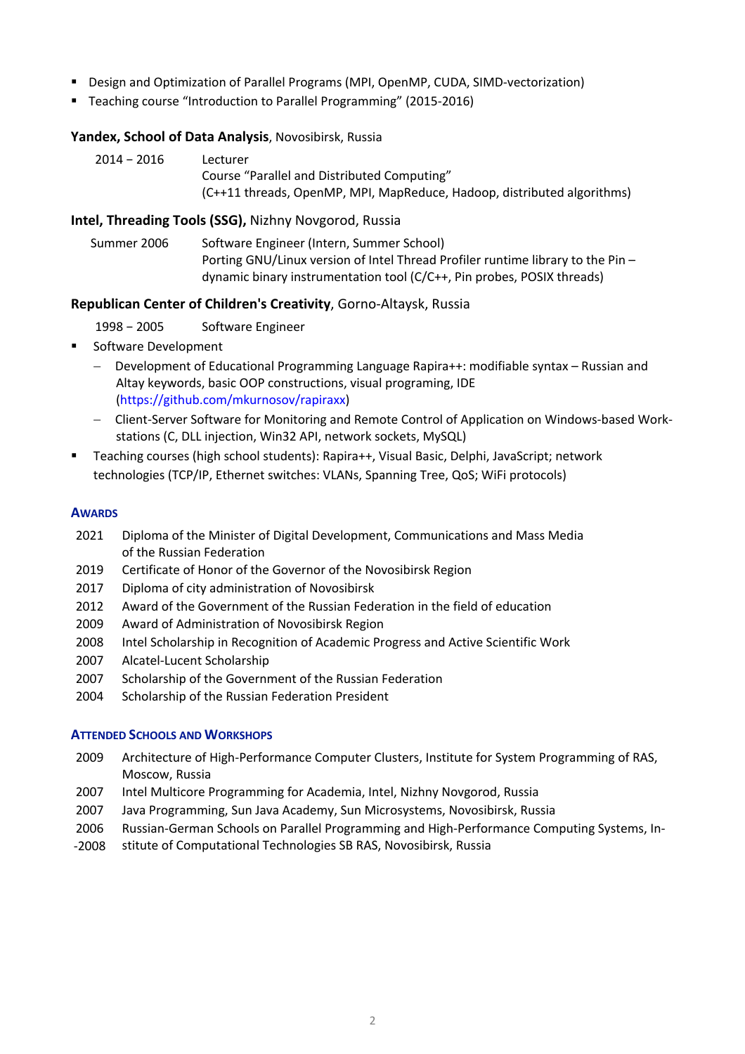- Design and Optimization of Parallel Programs (MPI, OpenMP, CUDA, SIMD-vectorization)
- § Teaching course "Introduction to Parallel Programming" (2015-2016)

### **Yandex, School of Data Analysis**, Novosibirsk, Russia

| $2014 - 2016$ | Lecturer                                                                |
|---------------|-------------------------------------------------------------------------|
|               | Course "Parallel and Distributed Computing"                             |
|               | (C++11 threads, OpenMP, MPI, MapReduce, Hadoop, distributed algorithms) |

### **Intel, Threading Tools (SSG),** Nizhny Novgorod, Russia

Summer 2006 Software Engineer (Intern, Summer School) Porting GNU/Linux version of Intel Thread Profiler runtime library to the Pin – dynamic binary instrumentation tool (C/C++, Pin probes, POSIX threads)

### **Republican Center of Children's Creativity**, Gorno-Altaysk, Russia

- 1998 − 2005 Software Engineer
- Software Development
	- Development of Educational Programming Language Rapira++: modifiable syntax Russian and Altay keywords, basic OOP constructions, visual programing, IDE (https://github.com/mkurnosov/rapiraxx)
	- Client-Server Software for Monitoring and Remote Control of Application on Windows-based Workstations (C, DLL injection, Win32 API, network sockets, MySQL)
- § Teaching courses (high school students): Rapira++, Visual Basic, Delphi, JavaScript; network technologies (TCP/IP, Ethernet switches: VLANs, Spanning Tree, QoS; WiFi protocols)

#### **AWARDS**

- 2021 Diploma of the Minister of Digital Development, Communications and Mass Media of the Russian Federation
- 2019 Certificate of Honor of the Governor of the Novosibirsk Region
- 2017 Diploma of city administration of Novosibirsk
- 2012 Award of the Government of the Russian Federation in the field of education
- 2009 Award of Administration of Novosibirsk Region
- 2008 Intel Scholarship in Recognition of Academic Progress and Active Scientific Work
- 2007 Alcatel-Lucent Scholarship
- 2007 Scholarship of the Government of the Russian Federation
- 2004 Scholarship of the Russian Federation President

#### **ATTENDED SCHOOLS AND WORKSHOPS**

- 2009 Architecture of High-Performance Computer Clusters, Institute for System Programming of RAS, Moscow, Russia
- 2007 Intel Multicore Programming for Academia, Intel, Nizhny Novgorod, Russia
- 2007 Java Programming, Sun Java Academy, Sun Microsystems, Novosibirsk, Russia
- 2006 Russian-German Schools on Parallel Programming and High-Performance Computing Systems, In-
- -2008 stitute of Computational Technologies SB RAS, Novosibirsk, Russia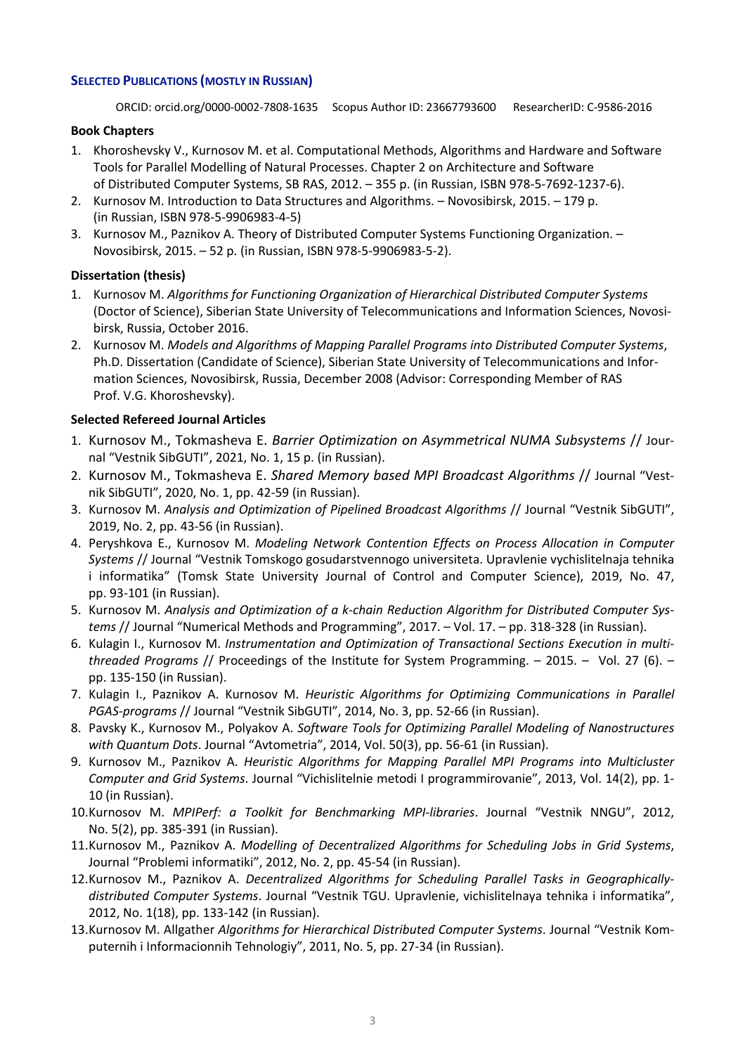### **SELECTED PUBLICATIONS (MOSTLY IN RUSSIAN)**

ORCID: orcid.org/0000-0002-7808-1635 Scopus Author ID: 23667793600 ResearcherID: C-9586-2016

### **Book Chapters**

- 1. Khoroshevsky V., Kurnosov M. et al. Computational Methods, Algorithms and Hardware and Software Tools for Parallel Modelling of Natural Processes. Chapter 2 on Architecture and Software of Distributed Computer Systems, SB RAS, 2012. – 355 p. (in Russian, ISBN 978-5-7692-1237-6).
- 2. Kurnosov M. Introduction to Data Structures and Algorithms. Novosibirsk, 2015. 179 p. (in Russian, ISBN 978-5-9906983-4-5)
- 3. Kurnosov M., Paznikov A. Theory of Distributed Computer Systems Functioning Organization. Novosibirsk, 2015. – 52 p. (in Russian, ISBN 978-5-9906983-5-2).

# **Dissertation (thesis)**

- 1. Kurnosov M. *Algorithms for Functioning Organization of Hierarchical Distributed Computer Systems* (Doctor of Science), Siberian State University of Telecommunications and Information Sciences, Novosibirsk, Russia, October 2016.
- 2. Kurnosov M. *Models and Algorithms of Mapping Parallel Programs into Distributed Computer Systems*, Ph.D. Dissertation (Candidate of Science), Siberian State University of Telecommunications and Information Sciences, Novosibirsk, Russia, December 2008 (Advisor: Corresponding Member of RAS Prof. V.G. Khoroshevsky).

### **Selected Refereed Journal Articles**

- 1. Kurnosov M., Tokmasheva E. *Barrier Optimization on Asymmetrical NUMA Subsystems* // Journal "Vestnik SibGUTI", 2021, No. 1, 15 p. (in Russian).
- 2. Kurnosov M., Tokmasheva E. *Shared Memory based MPI Broadcast Algorithms* // Journal "Vestnik SibGUTI", 2020, No. 1, pp. 42-59 (in Russian).
- 3. Kurnosov M. *Analysis and Optimization of Pipelined Broadcast Algorithms* // Journal "Vestnik SibGUTI", 2019, No. 2, pp. 43-56 (in Russian).
- 4. Peryshkova E., Kurnosov M. *Modeling Network Contention Effects on Process Allocation in Computer Systems* // Journal "Vestnik Tomskogo gosudarstvennogo universiteta. Upravlenie vychislitelnaja tehnika i informatika" (Tomsk State University Journal of Control and Computer Science), 2019, No. 47, pp. 93-101 (in Russian).
- 5. Kurnosov M. *Analysis and Optimization of a k-chain Reduction Algorithm for Distributed Computer Systems* // Journal "Numerical Methods and Programming", 2017. – Vol. 17. – pp. 318-328 (in Russian).
- 6. Kulagin I., Kurnosov M. *Instrumentation and Optimization of Transactional Sections Execution in multithreaded Programs* // Proceedings of the Institute for System Programming. – 2015. – Vol. 27 (6). – pp. 135-150 (in Russian).
- 7. Kulagin I., Paznikov A. Kurnosov M. *Heuristic Algorithms for Optimizing Communications in Parallel PGAS-programs* // Journal "Vestnik SibGUTI", 2014, No. 3, pp. 52-66 (in Russian).
- 8. Pavsky K., Kurnosov M., Polyakov A. *Software Tools for Optimizing Parallel Modeling of Nanostructures with Quantum Dots*. Journal "Avtometria", 2014, Vol. 50(3), pp. 56-61 (in Russian).
- 9. Kurnosov M., Paznikov A. *Heuristic Algorithms for Mapping Parallel MPI Programs into Multicluster Computer and Grid Systems*. Journal "Vichislitelnie metodi I programmirovanie", 2013, Vol. 14(2), pp. 1- 10 (in Russian).
- 10.Kurnosov M. *MPIPerf: a Toolkit for Benchmarking MPI-libraries*. Journal "Vestnik NNGU", 2012, No. 5(2), pp. 385-391 (in Russian).
- 11.Kurnosov M., Paznikov A. *Modelling of Decentralized Algorithms for Scheduling Jobs in Grid Systems*, Journal "Problemi informatiki", 2012, No. 2, pp. 45-54 (in Russian).
- 12.Kurnosov M., Paznikov A. *Decentralized Algorithms for Scheduling Parallel Tasks in Geographicallydistributed Computer Systems*. Journal "Vestnik TGU. Upravlenie, vichislitelnaya tehnika i informatika", 2012, No. 1(18), pp. 133-142 (in Russian).
- 13.Kurnosov M. Allgather *Algorithms for Hierarchical Distributed Computer Systems*. Journal "Vestnik Komputernih i Informacionnih Tehnologiy", 2011, No. 5, pp. 27-34 (in Russian).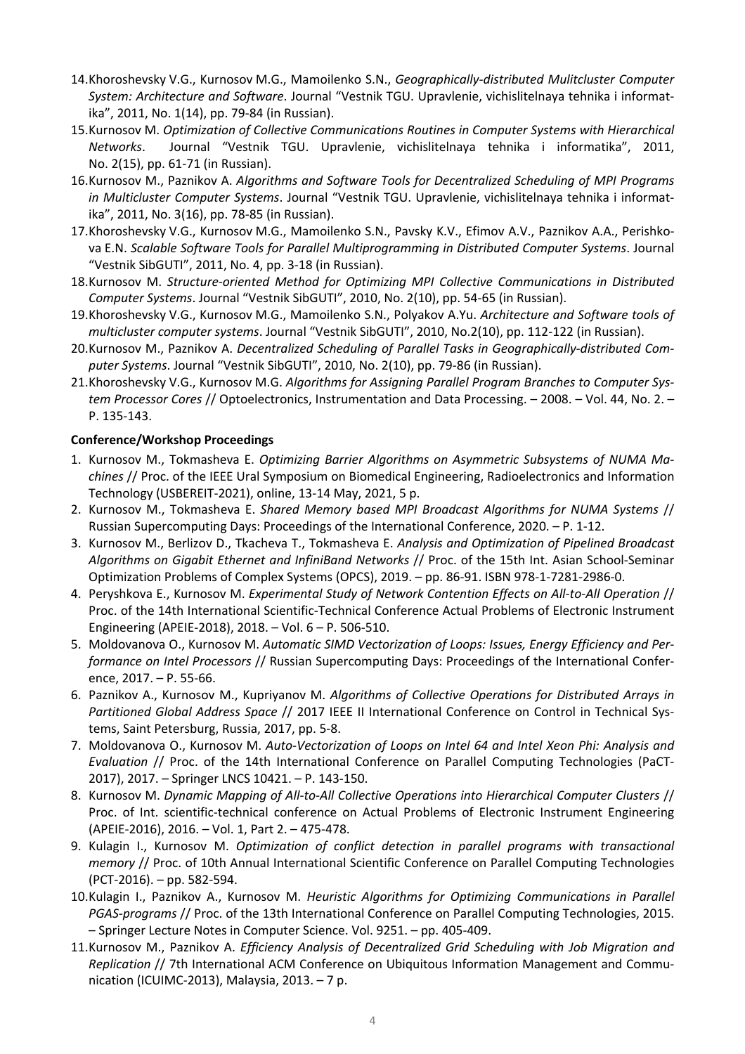- 14.Khoroshevsky V.G., Kurnosov M.G., Mamoilenko S.N., *Geographically-distributed Mulitcluster Computer System: Architecture and Software*. Journal "Vestnik TGU. Upravlenie, vichislitelnaya tehnika i informatika", 2011, No. 1(14), pp. 79-84 (in Russian).
- 15.Kurnosov M. *Optimization of Collective Communications Routines in Computer Systems with Hierarchical Networks*. Journal "Vestnik TGU. Upravlenie, vichislitelnaya tehnika i informatika", 2011, No. 2(15), pp. 61-71 (in Russian).
- 16.Kurnosov M., Paznikov A. *Algorithms and Software Tools for Decentralized Scheduling of MPI Programs in Multicluster Computer Systems*. Journal "Vestnik TGU. Upravlenie, vichislitelnaya tehnika i informatika", 2011, No. 3(16), pp. 78-85 (in Russian).
- 17.Khoroshevsky V.G., Kurnosov M.G., Mamoilenko S.N., Pavsky K.V., Efimov A.V., Paznikov A.A., Perishkova E.N. *Scalable Software Tools for Parallel Multiprogramming in Distributed Computer Systems*. Journal "Vestnik SibGUTI", 2011, No. 4, pp. 3-18 (in Russian).
- 18.Kurnosov M. *Structure-oriented Method for Optimizing MPI Collective Communications in Distributed Computer Systems*. Journal "Vestnik SibGUTI", 2010, No. 2(10), pp. 54-65 (in Russian).
- 19.Khoroshevsky V.G., Kurnosov M.G., Mamoilenko S.N., Polyakov A.Yu. *Architecture and Software tools of multicluster computer systems*. Journal "Vestnik SibGUTI", 2010, No.2(10), pp. 112-122 (in Russian).
- 20.Kurnosov M., Paznikov A. *Decentralized Scheduling of Parallel Tasks in Geographically-distributed Computer Systems*. Journal "Vestnik SibGUTI", 2010, No. 2(10), pp. 79-86 (in Russian).
- 21.Khoroshevsky V.G., Kurnosov M.G. *Algorithms for Assigning Parallel Program Branches to Computer System Processor Cores* // Optoelectronics, Instrumentation and Data Processing. – 2008. – Vol. 44, No. 2. – P. 135-143.

### **Conference/Workshop Proceedings**

- 1. Kurnosov M., Tokmasheva E. *Optimizing Barrier Algorithms on Asymmetric Subsystems of NUMA Machines* // Proc. of the IEEE Ural Symposium on Biomedical Engineering, Radioelectronics and Information Technology (USBEREIT-2021), online, 13-14 May, 2021, 5 p.
- 2. Kurnosov M., Tokmasheva E. *Shared Memory based MPI Broadcast Algorithms for NUMA Systems* // Russian Supercomputing Days: Proceedings of the International Conference, 2020. – P. 1-12.
- 3. Kurnosov M., Berlizov D., Tkacheva T., Tokmasheva E. *Analysis and Optimization of Pipelined Broadcast Algorithms on Gigabit Ethernet and InfiniBand Networks* // Proc. of the 15th Int. Asian School-Seminar Optimization Problems of Complex Systems (OPCS), 2019. – pp. 86-91. ISBN 978-1-7281-2986-0.
- 4. Peryshkova E., Kurnosov M. *Experimental Study of Network Contention Effects on All-to-All Operation* // Proc. of the 14th International Scientific-Technical Conference Actual Problems of Electronic Instrument Engineering (APEIE-2018), 2018. – Vol. 6 – P. 506-510.
- 5. Moldovanova O., Kurnosov M. *Automatic SIMD Vectorization of Loops: Issues, Energy Efficiency and Performance on Intel Processors* // Russian Supercomputing Days: Proceedings of the International Conference, 2017. – P. 55-66.
- 6. Paznikov A., Kurnosov M., Kupriyanov M. *Algorithms of Collective Operations for Distributed Arrays in Partitioned Global Address Space* // 2017 IEEE II International Conference on Control in Technical Systems, Saint Petersburg, Russia, 2017, pp. 5-8.
- 7. Moldovanova O., Kurnosov M. *Auto-Vectorization of Loops on Intel 64 and Intel Xeon Phi: Analysis and Evaluation* // Proc. of the 14th International Conference on Parallel Computing Technologies (PaCT-2017), 2017. – Springer LNCS 10421. – P. 143-150.
- 8. Kurnosov M. *Dynamic Mapping of All-to-All Collective Operations into Hierarchical Computer Clusters* // Proc. of Int. scientific-technical conference on Actual Problems of Electronic Instrument Engineering (APEIE-2016), 2016. – Vol. 1, Part 2. – 475-478.
- 9. Kulagin I., Kurnosov M. *Optimization of conflict detection in parallel programs with transactional memory* // Proc. of 10th Annual International Scientific Conference on Parallel Computing Technologies (PCT-2016). – pp. 582-594.
- 10.Kulagin I., Paznikov A., Kurnosov M. *Heuristic Algorithms for Optimizing Communications in Parallel PGAS-programs* // Proc. of the 13th International Conference on Parallel Computing Technologies, 2015. – Springer Lecture Notes in Computer Science. Vol. 9251. – pp. 405-409.
- 11.Kurnosov M., Paznikov A. *Efficiency Analysis of Decentralized Grid Scheduling with Job Migration and Replication* // 7th International ACM Conference on Ubiquitous Information Management and Communication (ICUIMC-2013), Malaysia, 2013. – 7 p.